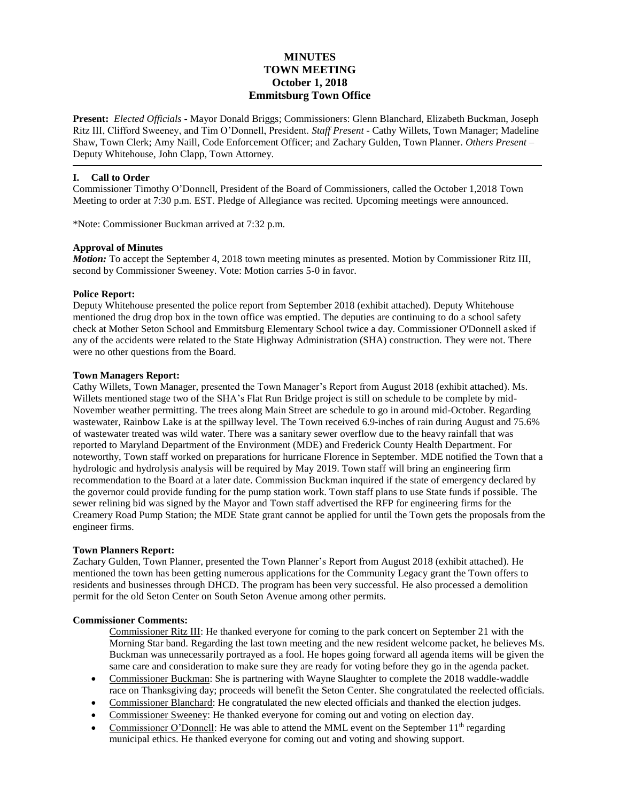# **MINUTES TOWN MEETING October 1, 2018 Emmitsburg Town Office**

**Present:** *Elected Officials* - Mayor Donald Briggs; Commissioners: Glenn Blanchard, Elizabeth Buckman, Joseph Ritz III, Clifford Sweeney, and Tim O'Donnell, President. *Staff Present* - Cathy Willets, Town Manager; Madeline Shaw, Town Clerk; Amy Naill, Code Enforcement Officer; and Zachary Gulden, Town Planner. *Others Present* – Deputy Whitehouse, John Clapp, Town Attorney.

### **I. Call to Order**

Commissioner Timothy O'Donnell, President of the Board of Commissioners, called the October 1,2018 Town Meeting to order at 7:30 p.m. EST. Pledge of Allegiance was recited. Upcoming meetings were announced.

\*Note: Commissioner Buckman arrived at 7:32 p.m.

#### **Approval of Minutes**

*Motion:* To accept the September 4, 2018 town meeting minutes as presented. Motion by Commissioner Ritz III, second by Commissioner Sweeney. Vote: Motion carries 5-0 in favor.

#### **Police Report:**

Deputy Whitehouse presented the police report from September 2018 (exhibit attached). Deputy Whitehouse mentioned the drug drop box in the town office was emptied. The deputies are continuing to do a school safety check at Mother Seton School and Emmitsburg Elementary School twice a day. Commissioner O'Donnell asked if any of the accidents were related to the State Highway Administration (SHA) construction. They were not. There were no other questions from the Board.

#### **Town Managers Report:**

Cathy Willets, Town Manager, presented the Town Manager's Report from August 2018 (exhibit attached). Ms. Willets mentioned stage two of the SHA's Flat Run Bridge project is still on schedule to be complete by mid-November weather permitting. The trees along Main Street are schedule to go in around mid-October. Regarding wastewater, Rainbow Lake is at the spillway level. The Town received 6.9-inches of rain during August and 75.6% of wastewater treated was wild water. There was a sanitary sewer overflow due to the heavy rainfall that was reported to Maryland Department of the Environment (MDE) and Frederick County Health Department. For noteworthy, Town staff worked on preparations for hurricane Florence in September. MDE notified the Town that a hydrologic and hydrolysis analysis will be required by May 2019. Town staff will bring an engineering firm recommendation to the Board at a later date. Commission Buckman inquired if the state of emergency declared by the governor could provide funding for the pump station work. Town staff plans to use State funds if possible. The sewer relining bid was signed by the Mayor and Town staff advertised the RFP for engineering firms for the Creamery Road Pump Station; the MDE State grant cannot be applied for until the Town gets the proposals from the engineer firms.

#### **Town Planners Report:**

Zachary Gulden, Town Planner, presented the Town Planner's Report from August 2018 (exhibit attached). He mentioned the town has been getting numerous applications for the Community Legacy grant the Town offers to residents and businesses through DHCD. The program has been very successful. He also processed a demolition permit for the old Seton Center on South Seton Avenue among other permits.

#### **Commissioner Comments:**

Commissioner Ritz III: He thanked everyone for coming to the park concert on September 21 with the Morning Star band. Regarding the last town meeting and the new resident welcome packet, he believes Ms. Buckman was unnecessarily portrayed as a fool. He hopes going forward all agenda items will be given the same care and consideration to make sure they are ready for voting before they go in the agenda packet.

- Commissioner Buckman: She is partnering with Wayne Slaughter to complete the 2018 waddle-waddle race on Thanksgiving day; proceeds will benefit the Seton Center. She congratulated the reelected officials.
- Commissioner Blanchard: He congratulated the new elected officials and thanked the election judges.
- Commissioner Sweeney: He thanked everyone for coming out and voting on election day.
- Commissioner O'Donnell: He was able to attend the MML event on the September  $11<sup>th</sup>$  regarding municipal ethics. He thanked everyone for coming out and voting and showing support.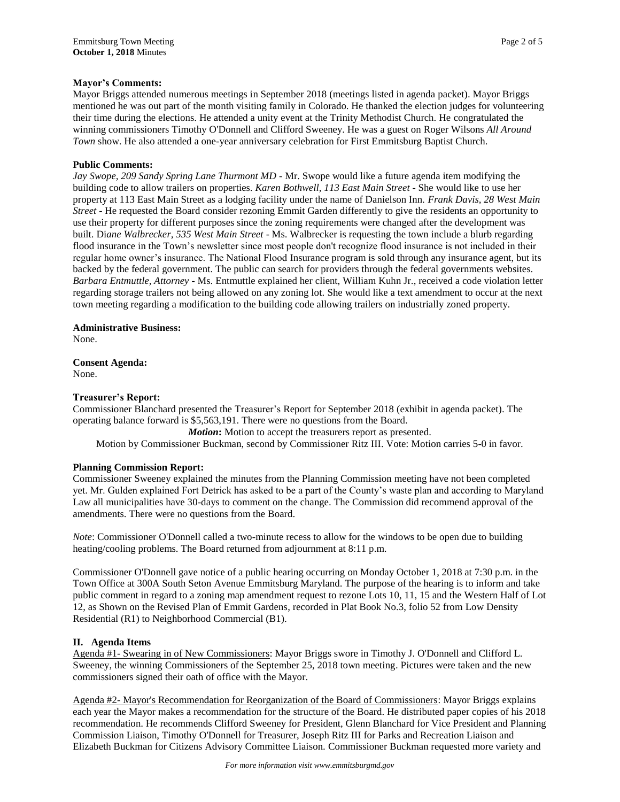### **Mayor's Comments:**

Mayor Briggs attended numerous meetings in September 2018 (meetings listed in agenda packet). Mayor Briggs mentioned he was out part of the month visiting family in Colorado. He thanked the election judges for volunteering their time during the elections. He attended a unity event at the Trinity Methodist Church. He congratulated the winning commissioners Timothy O'Donnell and Clifford Sweeney. He was a guest on Roger Wilsons *All Around Town* show. He also attended a one-year anniversary celebration for First Emmitsburg Baptist Church.

#### **Public Comments:**

*Jay Swope, 209 Sandy Spring Lane Thurmont MD -* Mr. Swope would like a future agenda item modifying the building code to allow trailers on properties. *Karen Bothwell, 113 East Main Street* - She would like to use her property at 113 East Main Street as a lodging facility under the name of Danielson Inn. *Frank Davis, 28 West Main Street* - He requested the Board consider rezoning Emmit Garden differently to give the residents an opportunity to use their property for different purposes since the zoning requirements were changed after the development was built. Di*ane Walbrecker, 535 West Main Street* - Ms. Walbrecker is requesting the town include a blurb regarding flood insurance in the Town's newsletter since most people don't recognize flood insurance is not included in their regular home owner's insurance. The National Flood Insurance program is sold through any insurance agent, but its backed by the federal government. The public can search for providers through the federal governments websites. *Barbara Entmuttle, Attorney* - Ms. Entmuttle explained her client, William Kuhn Jr., received a code violation letter regarding storage trailers not being allowed on any zoning lot. She would like a text amendment to occur at the next town meeting regarding a modification to the building code allowing trailers on industrially zoned property.

#### **Administrative Business:**

None.

**Consent Agenda:** None.

### **Treasurer's Report:**

Commissioner Blanchard presented the Treasurer's Report for September 2018 (exhibit in agenda packet). The operating balance forward is \$5,563,191. There were no questions from the Board.

*Motion*: Motion to accept the treasurers report as presented.

Motion by Commissioner Buckman, second by Commissioner Ritz III. Vote: Motion carries 5-0 in favor.

# **Planning Commission Report:**

Commissioner Sweeney explained the minutes from the Planning Commission meeting have not been completed yet. Mr. Gulden explained Fort Detrick has asked to be a part of the County's waste plan and according to Maryland Law all municipalities have 30-days to comment on the change. The Commission did recommend approval of the amendments. There were no questions from the Board.

*Note*: Commissioner O'Donnell called a two-minute recess to allow for the windows to be open due to building heating/cooling problems. The Board returned from adjournment at 8:11 p.m.

Commissioner O'Donnell gave notice of a public hearing occurring on Monday October 1, 2018 at 7:30 p.m. in the Town Office at 300A South Seton Avenue Emmitsburg Maryland. The purpose of the hearing is to inform and take public comment in regard to a zoning map amendment request to rezone Lots 10, 11, 15 and the Western Half of Lot 12, as Shown on the Revised Plan of Emmit Gardens, recorded in Plat Book No.3, folio 52 from Low Density Residential (R1) to Neighborhood Commercial (B1).

#### **II. Agenda Items**

Agenda #1- Swearing in of New Commissioners: Mayor Briggs swore in Timothy J. O'Donnell and Clifford L. Sweeney, the winning Commissioners of the September 25, 2018 town meeting. Pictures were taken and the new commissioners signed their oath of office with the Mayor.

Agenda #2- Mayor's Recommendation for Reorganization of the Board of Commissioners: Mayor Briggs explains each year the Mayor makes a recommendation for the structure of the Board. He distributed paper copies of his 2018 recommendation. He recommends Clifford Sweeney for President, Glenn Blanchard for Vice President and Planning Commission Liaison, Timothy O'Donnell for Treasurer, Joseph Ritz III for Parks and Recreation Liaison and Elizabeth Buckman for Citizens Advisory Committee Liaison. Commissioner Buckman requested more variety and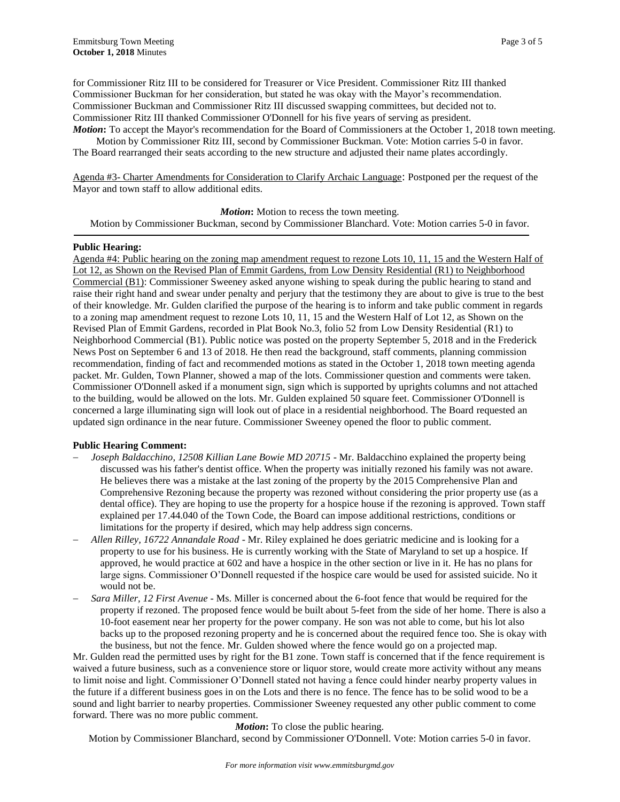for Commissioner Ritz III to be considered for Treasurer or Vice President. Commissioner Ritz III thanked Commissioner Buckman for her consideration, but stated he was okay with the Mayor's recommendation. Commissioner Buckman and Commissioner Ritz III discussed swapping committees, but decided not to. Commissioner Ritz III thanked Commissioner O'Donnell for his five years of serving as president. *Motion***:** To accept the Mayor's recommendation for the Board of Commissioners at the October 1, 2018 town meeting.

Motion by Commissioner Ritz III, second by Commissioner Buckman. Vote: Motion carries 5-0 in favor. The Board rearranged their seats according to the new structure and adjusted their name plates accordingly.

Agenda #3- Charter Amendments for Consideration to Clarify Archaic Language: Postponed per the request of the Mayor and town staff to allow additional edits.

*Motion***:** Motion to recess the town meeting.

Motion by Commissioner Buckman, second by Commissioner Blanchard. Vote: Motion carries 5-0 in favor.

#### **Public Hearing:**

Agenda #4: Public hearing on the zoning map amendment request to rezone Lots 10, 11, 15 and the Western Half of Lot 12, as Shown on the Revised Plan of Emmit Gardens, from Low Density Residential (R1) to Neighborhood Commercial (B1): Commissioner Sweeney asked anyone wishing to speak during the public hearing to stand and raise their right hand and swear under penalty and perjury that the testimony they are about to give is true to the best of their knowledge. Mr. Gulden clarified the purpose of the hearing is to inform and take public comment in regards to a zoning map amendment request to rezone Lots 10, 11, 15 and the Western Half of Lot 12, as Shown on the Revised Plan of Emmit Gardens, recorded in Plat Book No.3, folio 52 from Low Density Residential (R1) to Neighborhood Commercial (B1). Public notice was posted on the property September 5, 2018 and in the Frederick News Post on September 6 and 13 of 2018. He then read the background, staff comments, planning commission recommendation, finding of fact and recommended motions as stated in the October 1, 2018 town meeting agenda packet. Mr. Gulden, Town Planner, showed a map of the lots. Commissioner question and comments were taken. Commissioner O'Donnell asked if a monument sign, sign which is supported by uprights columns and not attached to the building, would be allowed on the lots. Mr. Gulden explained 50 square feet. Commissioner O'Donnell is concerned a large illuminating sign will look out of place in a residential neighborhood. The Board requested an updated sign ordinance in the near future. Commissioner Sweeney opened the floor to public comment.

# **Public Hearing Comment:**

- *Joseph Baldacchino, 12508 Killian Lane Bowie MD 20715* Mr. Baldacchino explained the property being discussed was his father's dentist office. When the property was initially rezoned his family was not aware. He believes there was a mistake at the last zoning of the property by the 2015 Comprehensive Plan and Comprehensive Rezoning because the property was rezoned without considering the prior property use (as a dental office). They are hoping to use the property for a hospice house if the rezoning is approved. Town staff explained per 17.44.040 of the Town Code, the Board can impose additional restrictions, conditions or limitations for the property if desired, which may help address sign concerns.
- *Allen Rilley, 16722 Annandale Road* Mr. Riley explained he does geriatric medicine and is looking for a property to use for his business. He is currently working with the State of Maryland to set up a hospice. If approved, he would practice at 602 and have a hospice in the other section or live in it. He has no plans for large signs. Commissioner O'Donnell requested if the hospice care would be used for assisted suicide. No it would not be.
- *Sara Miller, 12 First Avenue* Ms. Miller is concerned about the 6-foot fence that would be required for the property if rezoned. The proposed fence would be built about 5-feet from the side of her home. There is also a 10-foot easement near her property for the power company. He son was not able to come, but his lot also backs up to the proposed rezoning property and he is concerned about the required fence too. She is okay with the business, but not the fence. Mr. Gulden showed where the fence would go on a projected map.

Mr. Gulden read the permitted uses by right for the B1 zone. Town staff is concerned that if the fence requirement is waived a future business, such as a convenience store or liquor store, would create more activity without any means to limit noise and light. Commissioner O'Donnell stated not having a fence could hinder nearby property values in the future if a different business goes in on the Lots and there is no fence. The fence has to be solid wood to be a sound and light barrier to nearby properties. Commissioner Sweeney requested any other public comment to come forward. There was no more public comment.

#### *Motion***:** To close the public hearing.

Motion by Commissioner Blanchard, second by Commissioner O'Donnell. Vote: Motion carries 5-0 in favor.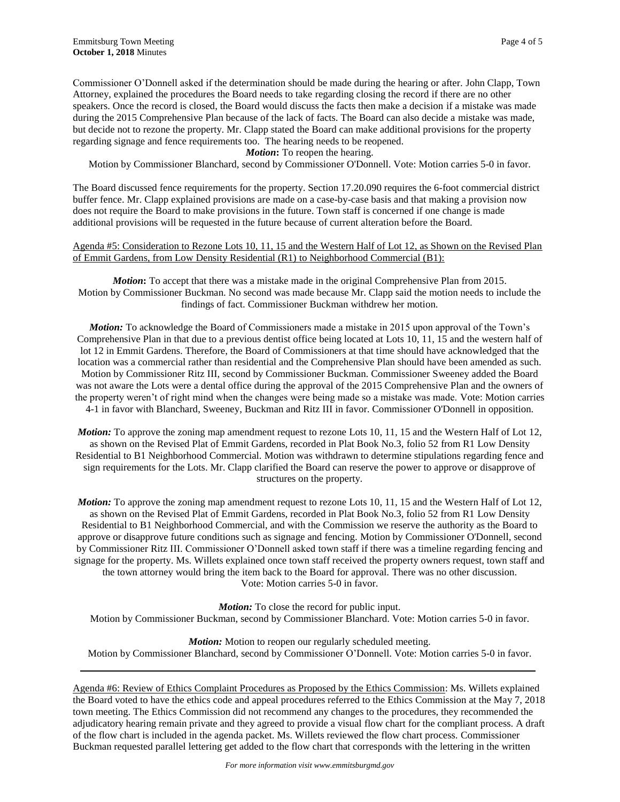Commissioner O'Donnell asked if the determination should be made during the hearing or after. John Clapp, Town Attorney, explained the procedures the Board needs to take regarding closing the record if there are no other speakers. Once the record is closed, the Board would discuss the facts then make a decision if a mistake was made during the 2015 Comprehensive Plan because of the lack of facts. The Board can also decide a mistake was made, but decide not to rezone the property. Mr. Clapp stated the Board can make additional provisions for the property regarding signage and fence requirements too. The hearing needs to be reopened.

*Motion*: To reopen the hearing.

Motion by Commissioner Blanchard, second by Commissioner O'Donnell. Vote: Motion carries 5-0 in favor.

The Board discussed fence requirements for the property. Section 17.20.090 requires the 6-foot commercial district buffer fence. Mr. Clapp explained provisions are made on a case-by-case basis and that making a provision now does not require the Board to make provisions in the future. Town staff is concerned if one change is made additional provisions will be requested in the future because of current alteration before the Board.

### Agenda #5: Consideration to Rezone Lots 10, 11, 15 and the Western Half of Lot 12, as Shown on the Revised Plan of Emmit Gardens, from Low Density Residential (R1) to Neighborhood Commercial (B1):

*Motion*: To accept that there was a mistake made in the original Comprehensive Plan from 2015. Motion by Commissioner Buckman. No second was made because Mr. Clapp said the motion needs to include the findings of fact. Commissioner Buckman withdrew her motion.

*Motion:* To acknowledge the Board of Commissioners made a mistake in 2015 upon approval of the Town's Comprehensive Plan in that due to a previous dentist office being located at Lots 10, 11, 15 and the western half of lot 12 in Emmit Gardens. Therefore, the Board of Commissioners at that time should have acknowledged that the location was a commercial rather than residential and the Comprehensive Plan should have been amended as such. Motion by Commissioner Ritz III, second by Commissioner Buckman. Commissioner Sweeney added the Board was not aware the Lots were a dental office during the approval of the 2015 Comprehensive Plan and the owners of the property weren't of right mind when the changes were being made so a mistake was made. Vote: Motion carries 4-1 in favor with Blanchard, Sweeney, Buckman and Ritz III in favor. Commissioner O'Donnell in opposition.

*Motion:* To approve the zoning map amendment request to rezone Lots 10, 11, 15 and the Western Half of Lot 12, as shown on the Revised Plat of Emmit Gardens, recorded in Plat Book No.3, folio 52 from R1 Low Density Residential to B1 Neighborhood Commercial. Motion was withdrawn to determine stipulations regarding fence and sign requirements for the Lots. Mr. Clapp clarified the Board can reserve the power to approve or disapprove of structures on the property.

*Motion:* To approve the zoning map amendment request to rezone Lots 10, 11, 15 and the Western Half of Lot 12, as shown on the Revised Plat of Emmit Gardens, recorded in Plat Book No.3, folio 52 from R1 Low Density Residential to B1 Neighborhood Commercial, and with the Commission we reserve the authority as the Board to approve or disapprove future conditions such as signage and fencing. Motion by Commissioner O'Donnell, second by Commissioner Ritz III. Commissioner O'Donnell asked town staff if there was a timeline regarding fencing and signage for the property. Ms. Willets explained once town staff received the property owners request, town staff and the town attorney would bring the item back to the Board for approval. There was no other discussion. Vote: Motion carries 5-0 in favor.

*Motion:* To close the record for public input. Motion by Commissioner Buckman, second by Commissioner Blanchard. Vote: Motion carries 5-0 in favor.

*Motion:* Motion to reopen our regularly scheduled meeting. Motion by Commissioner Blanchard, second by Commissioner O'Donnell. Vote: Motion carries 5-0 in favor.

Agenda #6: Review of Ethics Complaint Procedures as Proposed by the Ethics Commission: Ms. Willets explained the Board voted to have the ethics code and appeal procedures referred to the Ethics Commission at the May 7, 2018 town meeting. The Ethics Commission did not recommend any changes to the procedures, they recommended the adjudicatory hearing remain private and they agreed to provide a visual flow chart for the compliant process. A draft of the flow chart is included in the agenda packet. Ms. Willets reviewed the flow chart process. Commissioner Buckman requested parallel lettering get added to the flow chart that corresponds with the lettering in the written